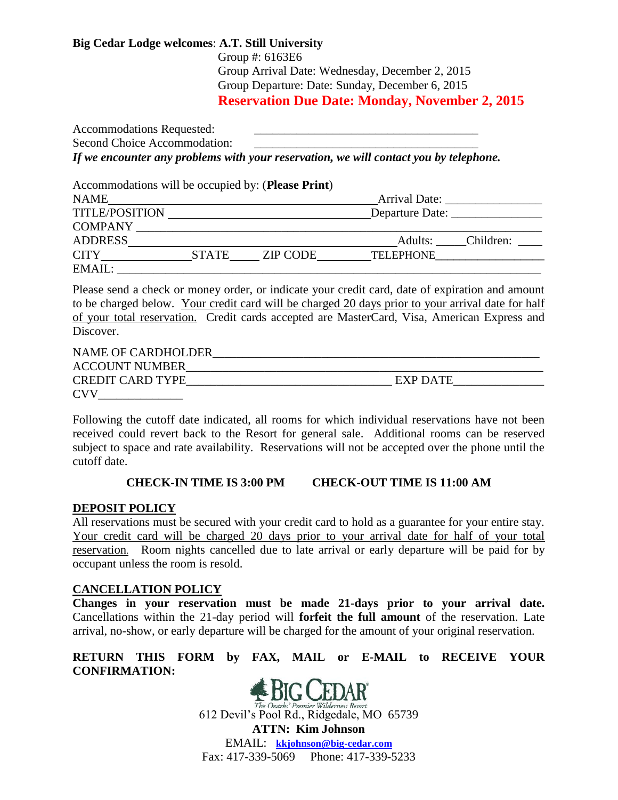## **Big Cedar Lodge welcomes**: **A.T. Still University**

Group #: 6163E6 Group Arrival Date: Wednesday, December 2, 2015 Group Departure: Date: Sunday, December 6, 2015 **Reservation Due Date: Monday, November 2, 2015**

Accommodations Requested: Second Choice Accommodation: *If we encounter any problems with your reservation, we will contact you by telephone.*

Accommodations will be occupied by: (**Please Print**)

| <b>NAME</b>           |              |          | Arrival Date:    |           |
|-----------------------|--------------|----------|------------------|-----------|
| <b>TITLE/POSITION</b> |              |          | Departure Date:  |           |
| <b>COMPANY</b>        |              |          |                  |           |
| <b>ADDRESS</b>        |              |          | Adults:          | Children: |
| <b>CITY</b>           | <b>STATE</b> | ZIP CODE | <b>TELEPHONE</b> |           |
| EMAIL:                |              |          |                  |           |

Please send a check or money order, or indicate your credit card, date of expiration and amount to be charged below. Your credit card will be charged 20 days prior to your arrival date for half of your total reservation. Credit cards accepted are MasterCard, Visa, American Express and Discover.

| <b>NAME OF CARDHOLDER</b> |          |
|---------------------------|----------|
| <b>ACCOUNT NUMBER</b>     |          |
| <b>CREDIT CARD TYPE</b>   | EXP DATE |
| <b>CVV</b>                |          |

Following the cutoff date indicated, all rooms for which individual reservations have not been received could revert back to the Resort for general sale. Additional rooms can be reserved subject to space and rate availability. Reservations will not be accepted over the phone until the cutoff date.

## **CHECK-IN TIME IS 3:00 PM CHECK-OUT TIME IS 11:00 AM**

## **DEPOSIT POLICY**

All reservations must be secured with your credit card to hold as a guarantee for your entire stay. Your credit card will be charged 20 days prior to your arrival date for half of your total reservation. Room nights cancelled due to late arrival or early departure will be paid for by occupant unless the room is resold.

## **CANCELLATION POLICY**

**Changes in your reservation must be made 21-days prior to your arrival date.** Cancellations within the 21-day period will **forfeit the full amount** of the reservation. Late arrival, no-show, or early departure will be charged for the amount of your original reservation.

## **RETURN THIS FORM by FAX, MAIL or E-MAIL to RECEIVE YOUR CONFIRMATION:**



612 Devil's Pool Rd., Ridgedale, MO 65739

**ATTN: Kim Johnson** EMAIL: **[kkjohnson@big-cedar.com](mailto:kkjohnson@big-cedar.com)** Fax: 417-339-5069 Phone: 417-339-5233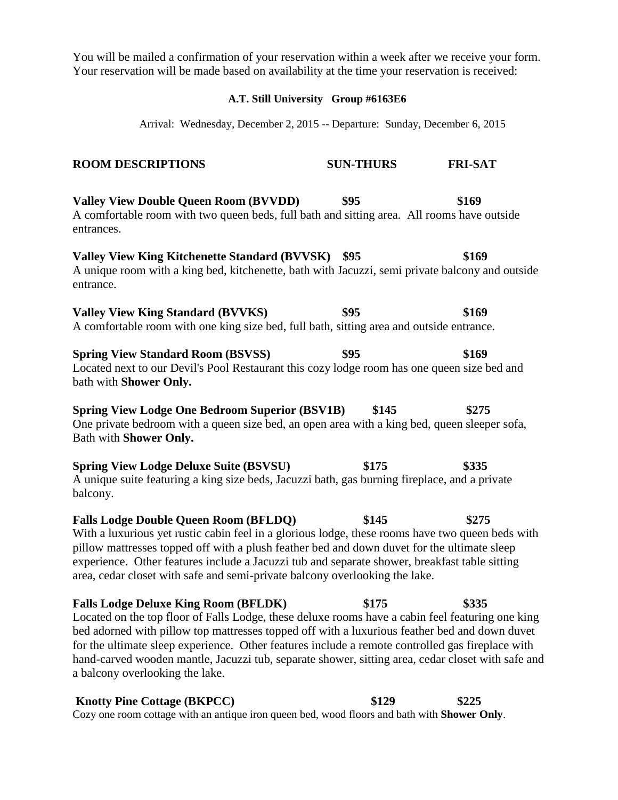You will be mailed a confirmation of your reservation within a week after we receive your form. Your reservation will be made based on availability at the time your reservation is received:

#### **A.T. Still University Group #6163E6**

Arrival: Wednesday, December 2, 2015 -- Departure: Sunday, December 6, 2015

### **ROOM DESCRIPTIONS SUN-THURS FRI-SAT**

**Valley View Double Queen Room (BVVDD) \$95 \$169**  A comfortable room with two queen beds, full bath and sitting area. All rooms have outside entrances.

**Valley View King Kitchenette Standard (BVVSK) \$95 \$169**  A unique room with a king bed, kitchenette, bath with Jacuzzi, semi private balcony and outside entrance.

Valley View King Standard (BVVKS)  $$95$   $$169$ A comfortable room with one king size bed, full bath, sitting area and outside entrance.

**Spring View Standard Room (BSVSS)**  $$95$  **\$169** Located next to our Devil's Pool Restaurant this cozy lodge room has one queen size bed and bath with **Shower Only.** 

**Spring View Lodge One Bedroom Superior (BSV1B) \$145 \$275**  One private bedroom with a queen size bed, an open area with a king bed, queen sleeper sofa, Bath with **Shower Only.** 

**Spring View Lodge Deluxe Suite (BSVSU) \$175 \$335**  A unique suite featuring a king size beds, Jacuzzi bath, gas burning fireplace, and a private balcony.

**Falls Lodge Double Queen Room (BFLDQ) \$145 \$275**  With a luxurious yet rustic cabin feel in a glorious lodge, these rooms have two queen beds with pillow mattresses topped off with a plush feather bed and down duvet for the ultimate sleep experience. Other features include a Jacuzzi tub and separate shower, breakfast table sitting area, cedar closet with safe and semi-private balcony overlooking the lake.

## **Falls Lodge Deluxe King Room (BFLDK) \$175 \$335**  Located on the top floor of Falls Lodge, these deluxe rooms have a cabin feel featuring one king bed adorned with pillow top mattresses topped off with a luxurious feather bed and down duvet for the ultimate sleep experience. Other features include a remote controlled gas fireplace with hand-carved wooden mantle, Jacuzzi tub, separate shower, sitting area, cedar closet with safe and a balcony overlooking the lake.

# **Knotty Pine Cottage (BKPCC) \$129 \$225**

Cozy one room cottage with an antique iron queen bed, wood floors and bath with **Shower Only**.